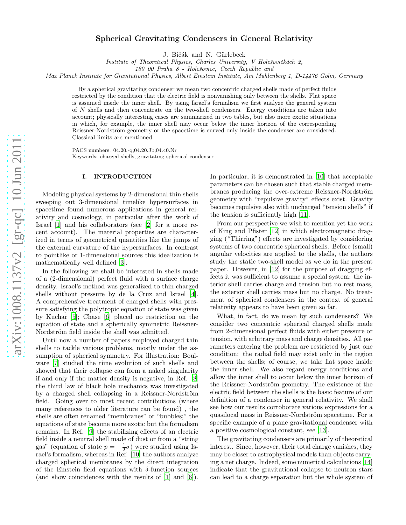# Spherical Gravitating Condensers in General Relativity

J. Bičák and N. Gürlebeck

Institute of Theoretical Physics, Charles University, V Holešovičkách 2,

180 00 Praha 8 - Holešovice, Czech Republic and

Max Planck Institute for Gravitational Physics, Albert Einstein Institute, Am Mühlenberg 1, D-14476 Golm, Germany

By a spherical gravitating condenser we mean two concentric charged shells made of perfect fluids restricted by the condition that the electric field is nonvanishing only between the shells. Flat space is assumed inside the inner shell. By using Israel's formalism we first analyze the general system of N shells and then concentrate on the two-shell condensers. Energy conditions are taken into account; physically interesting cases are summarized in two tables, but also more exotic situations in which, for example, the inner shell may occur below the inner horizon of the corresponding Reissner-Nordström geometry or the spacetime is curved only inside the condenser are considered. Classical limits are mentioned.

PACS numbers: 04.20.-q;04.20.Jb;04.40.Nr Keywords: charged shells, gravitating spherical condense r

#### I. INTRODUCTION

Modeling physical systems by 2-dimensional thin shells sweeping out 3-dimensional timelike hypersurfaces in spacetime found numerous applications in general relativity and cosmology, in particular after the work of Israel [\[1](#page-5-0)] and his collaborators (see [\[2\]](#page-5-1) for a more recent account). The material properties are characterized in terms of geometrical quantities like the jumps of the external curvature of the hypersurfaces. In contrast to pointlike or 1-dimensional sources this idealization is mathematically well defined [\[3\]](#page-5-2).

In the following we shall be interested in shells made of a (2-dimensional) perfect fluid with a surface charge density. Israel's method was generalized to thin charged shells without pressure by de la Cruz and Israel [\[4\]](#page-5-3). A comprehensive treatment of charged shells with pressure satisfying the polytropic equation of state was given by Kuchař  $[5]$ ; Chase  $[6]$  placed no restriction on the equation of state and a spherically symmetric Reissner-Nordström field inside the shell was admitted.

Until now a number of papers employed charged thin shells to tackle various problems, mostly under the assumption of spherical symmetry. For illustration: Boulware [\[7\]](#page-5-6) studied the time evolution of such shells and showed that their collapse can form a naked singularity if and only if the matter density is negative, in Ref. [\[8](#page-5-7)] the third law of black hole mechanics was investigated by a charged shell collapsing in a Reissner-Nordström field. Going over to most recent contributions (where many references to older literature can be found) , the shells are often renamed "membranes" or "bubbles;" the equations of state become more exotic but the formalism remains. In Ref. [\[9\]](#page-5-8) the stabilizing effects of an electric field inside a neutral shell made of dust or from a "string gas" (equation of state  $p = -\frac{1}{2}\sigma$ ) were studied using Israel's formalism, whereas in Ref. [\[10\]](#page-5-9) the authors analyze charged spherical membranes by the direct integration of the Einstein field equations with  $\delta$ -function sources (and show coincidences with the results of [\[1\]](#page-5-0) and [\[6\]](#page-5-5)).

In particular, it is demonstrated in [\[10](#page-5-9)] that acceptable parameters can be chosen such that stable charged membranes producing the over-extreme Reissner-Nordström geometry with "repulsive gravity" effects exist. Gravity becomes repulsive also with uncharged "tension shells" if the tension is sufficiently high [\[11](#page-5-10)].

From our perspective we wish to mention yet the work of King and Pfister [\[12](#page-5-11)] in which electromagnetic dragging ("Thirring") effects are investigated by considering systems of two concentric spherical shells. Before (small) angular velocities are applied to the shells, the authors study the static two-shell model as we do in the present paper. However, in [\[12\]](#page-5-11) for the purpose of dragging effects it was sufficient to assume a special system: the interior shell carries charge and tension but no rest mass, the exterior shell carries mass but no charge. No treatment of spherical condensers in the context of general relativity appears to have been given so far.

What, in fact, do we mean by such condensers? We consider two concentric spherical charged shells made from 2-dimensional perfect fluids with either pressure or tension, with arbitrary mass and charge densities. All parameters entering the problem are restricted by just one condition: the radial field may exist only in the region between the shells; of course, we take flat space inside the inner shell. We also regard energy conditions and allow the inner shell to occur below the inner horizon of the Reissner-Nordström geometry. The existence of the electric field between the shells is the basic feature of our definition of a condenser in general relativity. We shall see how our results corroborate various expressions for a quasilocal mass in Reissner-Nordström spacetime. For a specific example of a plane gravitational condenser with a positive cosmological constant, see [\[13\]](#page-5-12).

The gravitating condensers are primarily of theoretical interest. Since, however, their total charge vanishes, they may be closer to astrophysical models than objects carrying a net charge. Indeed, some numerical calculations [\[14](#page-5-13)] indicate that the gravitational collapse to neutron stars can lead to a charge separation but the whole system of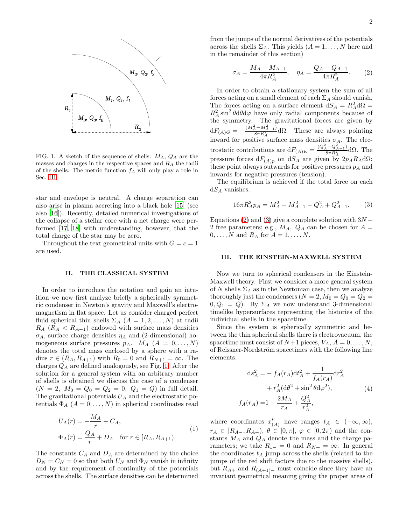

<span id="page-1-1"></span>FIG. 1. A sketch of the sequence of shells:  $M_A$ ,  $Q_A$  are the masses and charges in the respective spaces and  $R_A$  the radii of the shells. The metric function  $f_A$  will only play a role in Sec. [III.](#page-1-0)

star and envelope is neutral. A charge separation can also arise in plasma accreting into a black hole [\[15](#page-5-14)] (see also [\[16\]](#page-5-15)). Recently, detailed numerical investigations of the collapse of a stellar core with a net charge were performed [\[17,](#page-5-16) [18\]](#page-5-17) with understanding, however, that the total charge of the star may be zero.

Throughout the text geometrical units with  $G = c = 1$ are used.

### II. THE CLASSICAL SYSTEM

In order to introduce the notation and gain an intuition we now first analyze briefly a spherically symmetric condenser in Newton's gravity and Maxwell's electromagnetism in flat space. Let us consider charged perfect fluid spherical thin shells  $\Sigma_A$   $(A = 1, 2, ..., N)$  at radii  $R_A$  ( $R_A < R_{A+1}$ ) endowed with surface mass densities  $\sigma_A$ , surface charge densities  $\eta_A$  and (2-dimensional) homogeneous surface pressures  $p_A$ .  $M_A$   $(A = 0, ..., N)$ denotes the total mass enclosed by a sphere with a radius  $r \in (R_A, R_{A+1})$  with  $R_0 = 0$  and  $R_{N+1} = \infty$ . The charges  $Q_A$  are defined analogously, see Fig. [1.](#page-1-1) After the solution for a general system with an arbitrary number of shells is obtained we discuss the case of a condenser  $(N = 2, M_0 = Q_0 = Q_2 = 0, Q_1 = Q)$  in full detail. The gravitational potentials  $U_A$  and the electrostatic potentials  $\Phi_A$   $(A = 0, \ldots, N)$  in spherical coordinates read

$$
U_A(r) = -\frac{M_A}{r} + C_A,
$$
  
\n
$$
\Phi_A(r) = \frac{Q_A}{r} + D_A \quad \text{for } r \in [R_A, R_{A+1}).
$$
\n(1)

The constants  $C_A$  and  $D_A$  are determined by the choice  $D_N = C_N = 0$  so that both  $U_N$  and  $\Phi_N$  vanish in infinity and by the requirement of continuity of the potentials across the shells. The surface densities can be determined from the jumps of the normal derivatives of the potentials across the shells  $\Sigma_A$ . This yields  $(A = 1, \ldots, N$  here and in the remainder of this section)

$$
\sigma_A = \frac{M_A - M_{A-1}}{4\pi R_A^2}, \quad \eta_A = \frac{Q_A - Q_{A-1}}{4\pi R_A^2}.
$$
 (2)

<span id="page-1-2"></span>In order to obtain a stationary system the sum of all forces acting on a small element of each  $\Sigma_A$  should vanish. The forces acting on a surface element  $dS_A = R_A^2 d\Omega =$  $R_A^2 \sin^2 \theta d\theta d\varphi$  have only radial components because of the symmetry. The gravitational forces are given by  $dF_{(A)G} = \frac{(M_A^2 - M_{A-1}^2)}{8\pi R_A^2} d\Omega$ . These are always pointing  $8\pi R_A^2$ inward for positive surface mass densities  $\sigma_A$ . The electrostatic contributions are  $dF_{(A)E} = \frac{(Q_A^2 - Q_{A-1}^2)}{8\pi R_A^2} d\Omega$ . The pressure forces  $dF_{(A)p}$  on  $dS_A$  are given by  $2p_A R_A d\Omega$ ; these point always outwards for positive pressures  $p_A$  and inwards for negative pressures (tension).

The equilibrium is achieved if the total force on each  $dS_A$  vanishes:

$$
16\pi R_A^3 p_A = M_A^2 - M_{A-1}^2 - Q_A^2 + Q_{A-1}^2. \tag{3}
$$

<span id="page-1-3"></span>Equations [\(2\)](#page-1-2) and [\(3\)](#page-1-3) give a complete solution with  $3N +$ 2 free parameters; e.g.,  $M_A$ ,  $Q_A$  can be chosen for  $A =$  $0, \ldots, N$  and  $R_A$  for  $A = 1, \ldots, N$ .

#### <span id="page-1-0"></span>III. THE EINSTEIN-MAXWELL SYSTEM

Now we turn to spherical condensers in the Einstein-Maxwell theory. First we consider a more general system of N shells  $\Sigma_A$  as in the Newtonian case, then we analyze thoroughly just the condensers  $(N = 2, M_0 = Q_0 = Q_2 =$  $0, Q_1 = Q$ . By  $\Sigma_A$  we now understand 3-dimensional timelike hypersurfaces representing the histories of the individual shells in the spacetime.

Since the system is spherically symmetric and between the thin spherical shells there is electrovacuum, the spacetime must consist of  $N+1$  pieces,  $V_A$ ,  $A = 0, \ldots, N$ , of Reissner-Nordström spacetimes with the following line elements:

$$
ds_A^2 = -f_A(r_A)dt_A^2 + \frac{1}{f_A(r_A)}dr_A^2
$$

$$
+ r_A^2(d\theta^2 + \sin^2\theta d\varphi^2),
$$

$$
f_A(r_A) = 1 - \frac{2M_A}{r_A} + \frac{Q_A^2}{r_A^2},
$$
(4)

where coordinates  $x_i^{\mu}$  $_{(A)}^{\mu}$  have ranges  $t_A \in (-\infty, \infty)$ ,  $r_A \in [R_{A-}, R_{A+}), \theta \in [0, \pi], \varphi \in [0, 2\pi)$  and the constants  $M_A$  and  $Q_A$  denote the mass and the charge parameters; we take  $R_{1-} = 0$  and  $R_{N+} = \infty$ . In general the coordinates  $t_A$  jump across the shells (related to the jumps of the red shift factors due to the massive shells), but  $R_{A+}$  and  $R_{(A+1)-}$  must coincide since they have an invariant geometrical meaning giving the proper areas of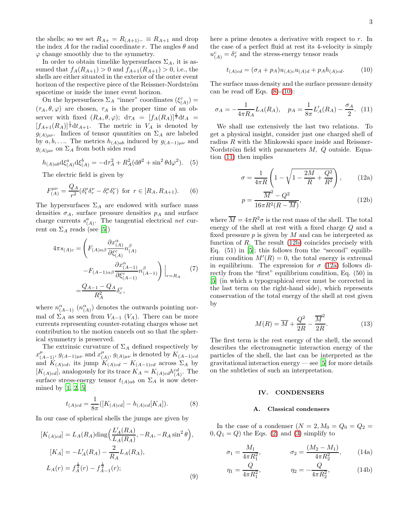the shells; so we set  $R_{A+} = R_{(A+1)-} \equiv R_{A+1}$  and drop the index A for the radial coordinate r. The angles  $\theta$  and  $\varphi$  change smoothly due to the symmetry.

In order to obtain timelike hypersurfaces  $\Sigma_A$ , it is assumed that  $f_A(R_{A+1}) > 0$  and  $f_{A+1}(R_{A+1}) > 0$ , i.e., the shells are either situated in the exterior of the outer event horizon of the respective piece of the Reissner-Nordström spacetime or inside the inner event horizon.

On the hypersurfaces  $\Sigma_A$  "inner" coordinates  $(\xi^c_{(A)})$  =  $(\tau_A, \theta, \varphi)$  are chosen,  $\tau_A$  is the proper time of an observer with fixed  $(R_A, \theta, \varphi); d\tau_A = [f_A(R_A)]^{\frac{1}{2}}dt_A =$  $[f_{A+1}(R_A)]^{\frac{1}{2}}dt_{A+1}$ . The metric in  $V_A$  is denoted by  $g_{(A)\mu\nu}$ . Indices of tensor quantities on  $\Sigma_A$  are labeled by  $a, b, \ldots$  The metrics  $h_{(A)a}$  induced by  $g_{(A-1)\mu\nu}$  and  $g_{(A)\mu\nu}$  on  $\Sigma_A$  from both sides read

$$
h_{(A)ab}d\xi_{(A)}^a d\xi_{(A)}^b = -d\tau_A^2 + R_A^2(d\theta^2 + \sin^2\theta d\varphi^2). \tag{5}
$$

The electric field is given by

$$
F_{(A)}^{\mu\nu} = \frac{Q_A}{r^2} (\delta_t^{\mu} \delta_r^{\nu} - \delta_r^{\mu} \delta_t^{\nu}) \text{ for } r \in [R_A, R_{A+1}). \tag{6}
$$

The hypersurfaces  $\Sigma_A$  are endowed with surface mass densities  $\sigma_A$ , surface pressure densities  $p_A$  and surface charge currents  $s^a_{(A)}$ . The tangential electrical net current on  $\Sigma_A$  reads (see [\[5](#page-5-4)])

$$
4\pi s_{(A)c} = \left( F_{(A)\alpha\beta} \frac{\partial x_{(A)}^{\alpha}}{\partial \xi_{(A)}^c} n_{(A)}^{\beta} - F_{(A-1)\alpha\beta} \frac{\partial x_{(A-1)}^{\alpha}}{\partial \xi_{(A-1)}^c} n_{(A-1)}^{\beta} \right) \Big|_{r=R_A}
$$
\n
$$
= \frac{Q_{A-1} - Q_A}{R_A^2} \delta_c^{\tau},
$$
\n(7)

where  $n_{(A-1)}^{\alpha}$  ( $n_{(A)}^{\alpha}$ ) denotes the outwards pointing normal of  $\Sigma_A$  as seen from  $V_{A-1}$  ( $V_A$ ). There can be more currents representing counter-rotating charges whose net contribution to the motion cancels out so that the spherical symmetry is preserved.

The extrinsic curvature of  $\Sigma_A$  defined respectively by  $x^{\mu}_{(A-1)}, g_{(A-1)\mu\nu}$  and  $x^{\mu}_{(A)}$  $\mu_{(A)}, g_{(A)\mu\nu}$  is denoted by  $K_{(A-1)cd}$ and  $K_{(A)cd}$ , its jump  $K_{(A)cd} - K_{(A-1)cd}$  across  $\Sigma_A$  by  $[K_{(A)cd}]$ , analogously for its trace  $K_A = K_{(A)cd}h_{(A)}^{cd}$ . The surface stress-energy tensor  $t_{(A)ab}$  on  $\Sigma_A$  is now determined by [\[1](#page-5-0), [2,](#page-5-1) [5\]](#page-5-4)

<span id="page-2-0"></span>
$$
t_{(A)cd} = \frac{1}{8\pi} ([K_{(A)cd}] - h_{(A)cd}[K_A]).
$$
 (8)

In our case of spherical shells the jumps are given by

$$
[K_{(A)cd}] = L_A(R_A) \text{diag}\Big(\frac{L'_A(R_A)}{L_A(R_A)}, -R_A, -R_A \sin^2 \theta\Big),
$$
  
\n
$$
[K_A] = -L'_A(R_A) - \frac{2}{R_A}L_A(R_A),
$$
  
\n
$$
L_A(r) = f_A^{\frac{1}{2}}(r) - f_{A-1}^{\frac{1}{2}}(r);
$$
\n(9)

here a prime denotes a derivative with respect to r. In the case of a perfect fluid at rest its 4-velocity is simply  $u_{(A)}^c = \delta_\tau^c$  and the stress-energy tensor reads

<span id="page-2-1"></span>
$$
t_{(A)cd} = (\sigma_A + p_A)u_{(A)c}u_{(A)d} + p_A h_{(A)cd}.
$$
 (10)

The surface mass density and the surface pressure density can be read off Eqs.  $(8)-(10)$  $(8)-(10)$ :

<span id="page-2-2"></span>
$$
\sigma_A = -\frac{1}{4\pi R_A} L_A(R_A), \quad p_A = \frac{1}{8\pi} L'_A(R_A) - \frac{\sigma_A}{2}.
$$
 (11)

We shall use extensively the last two relations. To get a physical insight, consider just one charged shell of radius  $R$  with the Minkowski space inside and Reissner-Nordström field with parameters  $M$ ,  $Q$  outside. Equation [\(11\)](#page-2-2) then implies

$$
\sigma = \frac{1}{4\pi R} \left( 1 - \sqrt{1 - \frac{2M}{R} + \frac{Q^2}{R^2}} \right), \quad (12a)
$$

<span id="page-2-4"></span><span id="page-2-3"></span>
$$
p = \frac{\overline{M}^2 - Q^2}{16\pi R^2 (R - \overline{M})},
$$
\n(12b)

where  $\overline{M} = 4\pi R^2 \sigma$  is the rest mass of the shell. The total energy of the shell at rest with a fixed charge Q and a fixed pressure  $p$  is given by  $M$  and can be interpreted as function of  $R$ . The result  $(12b)$  coincides precisely with Eq.  $(51)$  in  $[5]$ ; this follows from the "second" equilibrium condition  $M'(R) = 0$ , the total energy is extremal in equilibrium. The expression for  $\sigma$  [\(12a\)](#page-2-4) follows directly from the "first" equilibrium condition, Eq. (50) in [\[5\]](#page-5-4) (in which a typographical error must be corrected in the last term on the right-hand side), which represents conservation of the total energy of the shell at rest given by

<span id="page-2-5"></span>
$$
M(R) = \overline{M} + \frac{Q^2}{2R} - \frac{\overline{M}^2}{2R}.
$$
 (13)

The first term is the rest energy of the shell, the second describes the electromagnetic interaction energy of the particles of the shell, the last can be interpreted as the gravitational interaction energy  $\sim$  see [\[5](#page-5-4)] for more details on the subtleties of such an interpretation.

## IV. CONDENSERS

### <span id="page-2-6"></span>A. Classical condensers

In the case of a condenser  $(N = 2, M_0 = Q_0 = Q_2 =$  $0, Q_1 = Q$ ) the Eqs. [\(2\)](#page-1-2) and [\(3\)](#page-1-3) simplify to

$$
\sigma_1 = \frac{M_1}{4\pi R_1^2}, \qquad \sigma_2 = \frac{(M_2 - M_1)}{4\pi R_2^2}, \qquad (14a)
$$

$$
\eta_1 = \frac{Q}{4\pi R_1^2}, \qquad \eta_2 = -\frac{Q}{4\pi R_2^2}, \qquad (14b)
$$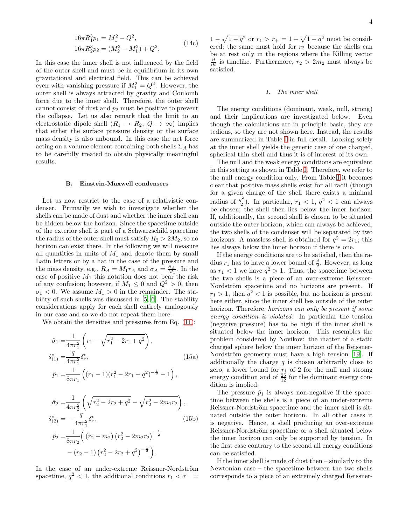$$
16\pi R_1^3 p_1 = M_1^2 - Q^2,
$$
  
\n
$$
16\pi R_2^3 p_2 = (M_2^2 - M_1^2) + Q^2.
$$
\n(14c)

In this case the inner shell is not influenced by the field of the outer shell and must be in equilibrium in its own gravitational and electrical field. This can be achieved even with vanishing pressure if  $M_1^2 = Q^2$ . However, the outer shell is always attracted by gravity and Coulomb force due to the inner shell. Therefore, the outer shell cannot consist of dust and  $p_2$  must be positive to prevent the collapse. Let us also remark that the limit to an electrostatic dipole shell  $(R_1 \rightarrow R_2, Q \rightarrow \infty)$  implies that either the surface pressure density or the surface mass density is also unbound. In this case the net force acting on a volume element containing both shells  $\Sigma_A$  has to be carefully treated to obtain physically meaningful results.

#### B. Einstein-Maxwell condensers

Let us now restrict to the case of a relativistic condenser. Primarily we wish to investigate whether the shells can be made of dust and whether the inner shell can be hidden below the horizon. Since the spacetime outside of the exterior shell is part of a Schwarzschild spacetime the radius of the outer shell must satisfy  $R_2 > 2M_2$ , so no horizon can exist there. In the following we will measure all quantities in units of  $M_1$  and denote them by small Latin letters or by a hat in the case of the pressure and the mass density, e.g.,  $R_A = M_1 r_A$  and  $\sigma_A = \frac{\hat{\sigma}_A}{M_1}$ . In the case of positive  $M_1$  this notation does not bear the risk of any confusion; however, if  $M_1 \leq 0$  and  $Q^2 > 0$ , then  $\sigma_1$  < 0. We assume  $M_1 > 0$  in the remainder. The stability of such shells was discussed in [\[5](#page-5-4), [6](#page-5-5)]. The stability considerations apply for each shell entirely analogously in our case and so we do not repeat them here.

We obtain the densities and pressures from Eq.  $(11)$ :

$$
\hat{\sigma}_1 = \frac{1}{4\pi r_1^2} \left( r_1 - \sqrt{r_1^2 - 2r_1 + q^2} \right),
$$
  
\n
$$
\hat{s}_{(1)}^c = \frac{q}{4\pi r_1^2} \delta^c_\tau,
$$
  
\n
$$
\hat{p}_1 = \frac{1}{8\pi r_1} \left( (r_1 - 1)(r_1^2 - 2r_1 + q^2)^{-\frac{1}{2}} - 1 \right),
$$
\n(15a)

$$
\hat{\sigma}_2 = \frac{1}{4\pi r_2^2} \left( \sqrt{r_2^2 - 2r_2 + q^2} - \sqrt{r_2^2 - 2m_1 r_2} \right),
$$
  
\n
$$
\hat{s}_{(2)}^c = -\frac{q}{4\pi r_1^2} \delta_r^c,
$$
  
\n
$$
\hat{p}_2 = \frac{1}{8\pi r_2} \left( (r_2 - m_2) \left( r_2^2 - 2m_2 r_2 \right)^{-\frac{1}{2}} - (r_2 - 1) \left( r_2^2 - 2r_2 + q^2 \right)^{-\frac{1}{2}} \right).
$$
\n(15b)

In the case of an under-extreme Reissner-Nordström spacetime,  $q^2$  < 1, the additional conditions  $r_1$  <  $r_$  =

 $1 - \sqrt{1 - q^2}$  or  $r_1 > r_+ = 1 + \sqrt{1 - q^2}$  must be considered; the same must hold for  $r_2$  because the shells can be at rest only in the regions where the Killing vector  $\frac{\partial}{\partial t}$  is timelike. Furthermore,  $r_2 > 2m_2$  must always be satisfied.

## 1. The inner shell

The energy conditions (dominant, weak, null, strong) and their implications are investigated below. Even though the calculations are in principle basic, they are tedious, so they are not shown here. Instead, the results are summarized in Table [I](#page-4-0) in full detail. Looking solely at the inner shell yields the generic case of one charged, spherical thin shell and thus it is of interest of its own.

The null and the weak energy conditions are equivalent in this setting as shown in Table [I.](#page-4-0) Therefore, we refer to the null energy condition only. From Table [I](#page-4-0) it becomes clear that positive mass shells exist for all radii (though for a given charge of the shell there exists a minimal radius of  $\frac{q^2}{2}$  $\frac{1}{2}$ ). In particular,  $r_1 < 1$ ,  $q^2 < 1$  can always be chosen; the shell then lies below the inner horizon. If, additionally, the second shell is chosen to be situated outside the outer horizon, which can always be achieved, the two shells of the condenser will be separated by two horizons. A massless shell is obtained for  $q^2 = 2r_1$ ; this lies always below the inner horizon if there is one.

If the energy conditions are to be satisfied, then the radius  $r_1$  has to have a lower bound of  $\frac{8}{9}$ . However, as long as  $r_1 < 1$  we have  $q^2 > 1$ . Thus, the spacetime between the two shells is a piece of an over-extreme Reissner-Nordström spacetime and no horizons are present. If  $r_1 > 1$ , then  $q^2 < 1$  is possible, but no horizon is present here either, since the inner shell lies outside of the outer horizon. Therefore, *horizons* can only be present if some energy condition is violated. In particular the tension (negative pressure) has to be high if the inner shell is situated below the inner horizon. This resembles the problem considered by Novikov: the matter of a static charged sphere below the inner horizon of the Reissner-Nordström geometry must have a high tension [\[19\]](#page-5-18). If additionally the charge  $q$  is chosen arbitrarily close to zero, a lower bound for  $r_1$  of 2 for the null and stromg energy condition and of  $\frac{25}{12}$  for the dominant energy condition is implied.

The pressure  $\hat{p}_1$  is always non-negative if the spacetime between the shells is a piece of an under-extreme Reissner-Nordström spacetime and the inner shell is situated outside the outer horizon. In all other cases it is negative. Hence, a shell producing an over-extreme Reissner-Nordström spacetime or a shell situated below the inner horizon can only be supported by tension. In the first case contrary to the second all energy conditions can be satisfied.

If the inner shell is made of dust then – similarly to the Newtonian case – the spacetime between the two shells corresponds to a piece of an extremely charged Reissner-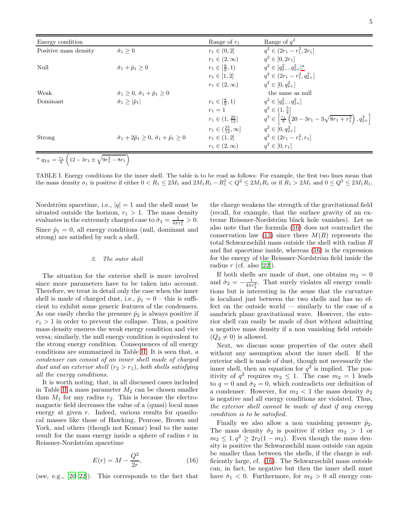5

| Energy condition      |                                                                      | Range of $r_1$                        | Range of $q^2$                                                                        |
|-----------------------|----------------------------------------------------------------------|---------------------------------------|---------------------------------------------------------------------------------------|
| Positive mass density | $\hat{\sigma}_1 \geq 0$                                              | $r_1 \in (0, 2]$                      | $q^2 \in (2r_1 - r_1^2, 2r_1]$                                                        |
|                       |                                                                      | $r_1 \in (2,\infty)$                  | $q^2 \in [0, 2r_1]$                                                                   |
| Null                  | $\hat{\sigma}_1 + \hat{p}_1 \geq 0$                                  | $r_1 \in [\frac{8}{9}, 1)$            | $q^2 \in [q_{2-}^2,q_{2+}^2]^{\rm a}$                                                 |
|                       |                                                                      | $r_1 \in [1,2]$                       | $q^2 \in (2r_1 - r_1^2, q_{2+}^2]$                                                    |
|                       |                                                                      | $r_1 \in (2,\infty)$                  | $q^2 \in [0, q_{2+}^2]$                                                               |
| Weak                  | $\hat{\sigma}_1 > 0$ , $\hat{\sigma}_1 + \hat{p}_1 > 0$              |                                       | the same as null                                                                      |
| Dominant              | $\hat{\sigma}_1 \geq  \hat{p}_1 $                                    | $r_1 \in \left[\frac{8}{9}, 1\right)$ | $q^2 \in [q_{2-}^2,q_{2+}^2]$                                                         |
|                       |                                                                      | $r_1 = 1$                             | $q^2 \in (1, \frac{5}{4}]$                                                            |
|                       |                                                                      | $r_1 \in (1, \frac{25}{12}]$          | $q^2 \in \left[\frac{r_1}{8}\left(20-3r_1-3\sqrt{8r_1+r_1^2}\right), q_{2+}^2\right]$ |
|                       |                                                                      | $r_1 \in (\frac{25}{12}, \infty]$     | $q^2 \in [0, q_{2+}^2]$                                                               |
| Strong                | $\hat{\sigma}_1 + 2\hat{p}_1 > 0$ , $\hat{\sigma}_1 + \hat{p}_1 > 0$ | $r_1 \in (1,2]$                       | $q^2 \in (2r_1 - r_1^2, r_1]$                                                         |
|                       |                                                                      | $r_1 \in (2,\infty)$                  | $q^2 \in [0, r_1]$                                                                    |

<span id="page-4-1"></span> $a_{2\pm} = \frac{r_1}{8} \left( 12 - 3r_1 \pm \sqrt{9r_1^2 - 8r_1} \right)$ 

<span id="page-4-0"></span>TABLE I. Energy conditions for the inner shell. The table is to be read as follows: For example, the first two lines mean that the mass density  $\sigma_1$  is positive if either  $0 < R_1 \leq 2M_1$  and  $2M_1R_1 - R_1^2 < Q^2 \leq 2M_1R_1$  or if  $R_1 > 2M_1$  and  $0 \leq Q^2 \leq 2M_1R_1$ .

Nordström spacetime, i.e.,  $|q| = 1$  and the shell must be situated outside the horizon,  $r_1 > 1$ . The mass density evaluates in the extremely charged case to  $\hat{\sigma}_1 = \frac{1}{4\pi r_1^2} > 0$ . Since  $\hat{p}_1 = 0$ , all energy conditions (null, dominant and strong) are satisfied by such a shell.

## 2. The outer shell

The situation for the exterior shell is more involved since more parameters have to be taken into account. Therefore, we treat in detail only the case when the inner shell is made of charged dust, i.e.,  $\hat{p}_1 = 0$  – this is sufficient to exhibit some generic features of the condensers. As one easily checks the pressure  $\hat{p}_2$  is always positive if  $r_1 > 1$  in order to prevent the collapse. Thus, a positive mass density ensures the weak energy condition and vice versa; similarly, the null energy condition is equivalent to the strong energy condition. Consequences of all energy conditions are summarized in Table [II.](#page-5-19) It is seen that, a condenser can consist of an inner shell made of charged dust and an exterior shell  $(r_2 > r_1)$ , both shells satisfying all the energy conditions.

It is worth noting, that, in all discussed cases included in Table [II](#page-5-19) a mass parameter  $M_2$  can be chosen smaller than  $M_1$  for any radius  $r_2$ . This is because the electromagnetic field decreases the value of a (quasi) local mass energy at given r. Indeed, various results for quasilocal masses like those of Hawking, Penrose, Brown and York, and others (though not Komar) lead to the same result for the mass energy inside a sphere of radius r in Reissner-Nordström spacetime

$$
E(r) = M - \frac{Q^2}{2r},\tag{16}
$$

(see, e.g.,  $[20-22]$ ). This corresponds to the fact that

the charge weakens the strength of the gravitational field (recall, for example, that the surface gravity of an extreme Reissner-Nordström black hole vanishes). Let us also note that the formula [\(16\)](#page-4-2) does not contradict the conservation law [\(13\)](#page-2-5) since there  $M(R)$  represents the total Schwarzschild mass outside the shell with radius R and flat spacetime inside, whereas [\(16\)](#page-4-2) is the expression for the energy of the Reissner-Nordström field inside the radius  $r$  (cf. also [\[22](#page-5-21)]).

If both shells are made of dust, one obtains  $m_2 = 0$ and  $\hat{\sigma}_2 = -\frac{1}{4\pi r_2^2}$ . That surely violates all energy conditions but is interesting in the sense that the curvature is localized just between the two shells and has no effect on the outside world — similarly to the case of a sandwich plane gravitational wave. However, the exterior shell can easily be made of dust without admitting a negative mass density if a non vanishing field outside  $(Q_2 \neq 0)$  is allowed.

Next, we discuss some properties of the outer shell without any assumption about the inner shell. If the exterior shell is made of dust, though not necessarily the inner shell, then an equation for  $q^2$  is implied. The positivity of  $q^2$  requires  $m_2 \leq 1$ . The case  $m_2 = 1$  leads to  $q = 0$  and  $\hat{\sigma}_2 = 0$ , which contradicts our definition of a condenser. However, for  $m_2 < 1$  the mass density  $\hat{\sigma}_2$ is negative and all energy conditions are violated. Thus, the exterior shell cannot be made of dust if any energy condition is to be satisfied.

<span id="page-4-2"></span>Finally we also allow a non vanishing pressure  $\hat{p}_2$ . The mass density  $\hat{\sigma}_2$  is positive if either  $m_2 > 1$  or  $m_2 \leq 1, q^2 \geq 2r_2(1-m_2)$ . Even though the mass density is positive the Schwarzschild mass outside can again be smaller than between the shells, if the charge is sufficiently large, cf. [\(16\)](#page-4-2). The Schwarzschild mass outside can, in fact, be negative but then the inner shell must have  $\hat{\sigma}_1$  < 0. Furthermore, for  $m_2 > 0$  all energy con-